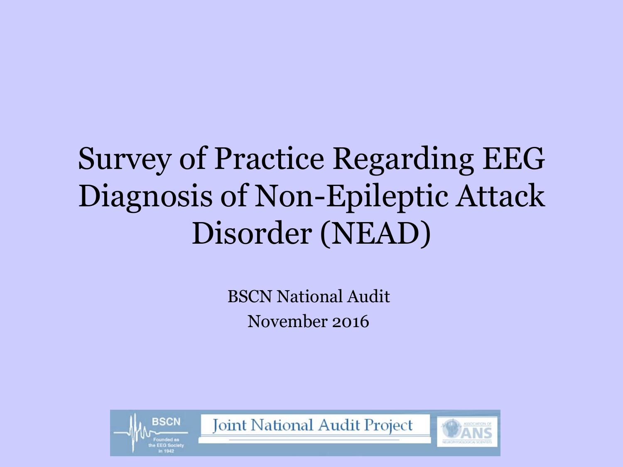### Survey of Practice Regarding EEG Diagnosis of Non-Epileptic Attack Disorder (NEAD)

BSCN National Audit November 2016

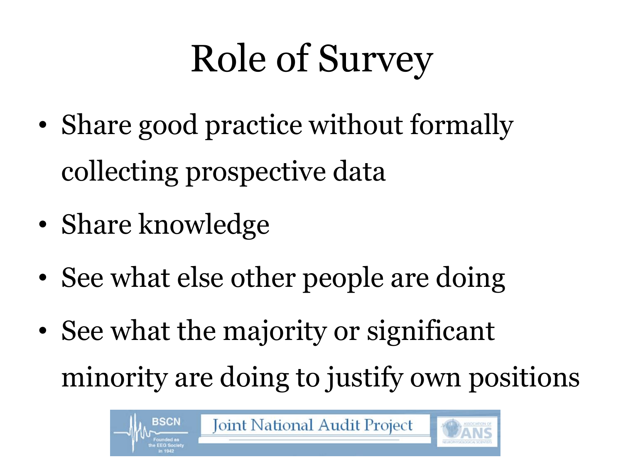# Role of Survey

- Share good practice without formally collecting prospective data
- Share knowledge
- See what else other people are doing
- See what the majority or significant minority are doing to justify own positions

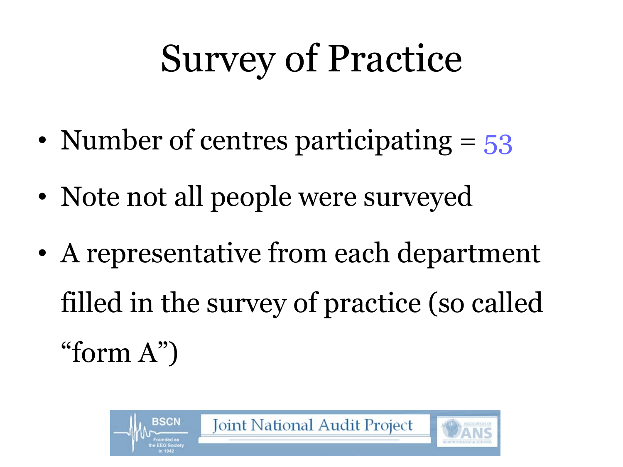# Survey of Practice

- Number of centres participating = 53
- Note not all people were surveyed
- A representative from each department filled in the survey of practice (so called "form A")

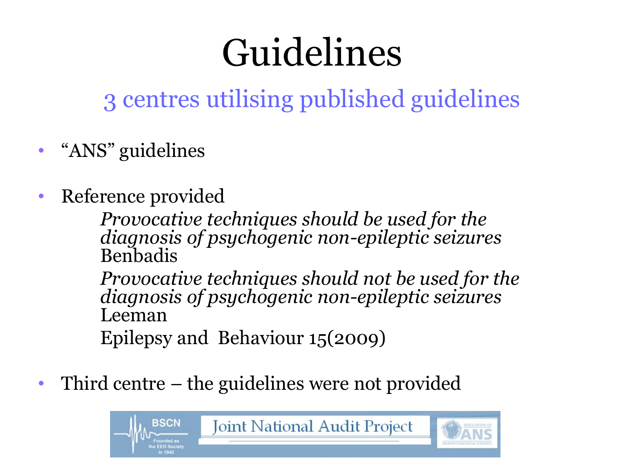# Guidelines

3 centres utilising published guidelines

- "ANS" guidelines
- Reference provided

*Provocative techniques should be used for the diagnosis of psychogenic non-epileptic seizures*  Benbadis

*Provocative techniques should not be used for the diagnosis of psychogenic non-epileptic seizures*  Leeman

Epilepsy and Behaviour 15(2009)

• Third centre – the guidelines were not provided

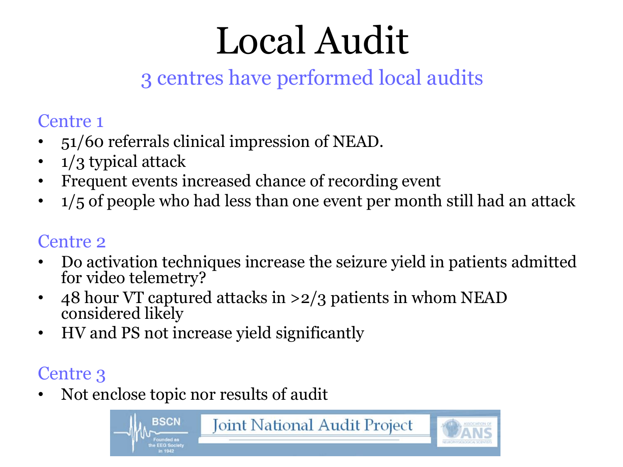# Local Audit

### 3 centres have performed local audits

#### Centre 1

- 51/60 referrals clinical impression of NEAD.
- 1/3 typical attack
- Frequent events increased chance of recording event
- $1/5$  of people who had less than one event per month still had an attack

#### Centre 2

- Do activation techniques increase the seizure yield in patients admitted for video telemetry?
- 48 hour VT captured attacks in >2/3 patients in whom NEAD considered likely
- HV and PS not increase yield significantly

#### Centre 3

• Not enclose topic nor results of audit

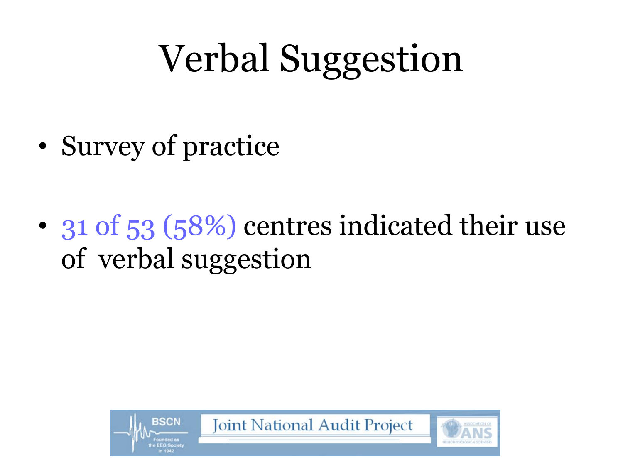# Verbal Suggestion

- Survey of practice
- 31 of 53 (58%) centres indicated their use of verbal suggestion

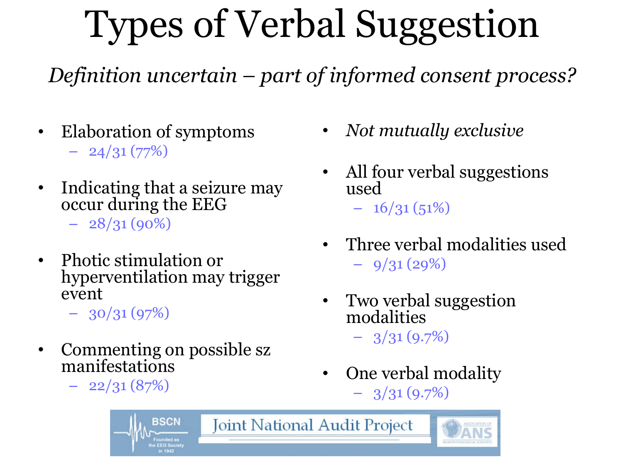# Types of Verbal Suggestion

*Definition uncertain – part of informed consent process?*

**Joint National Audit Project** 

- Elaboration of symptoms  $-24/31(77%)$
- Indicating that a seizure may occur during the EEG

 $-28/31(90\%)$ 

• Photic stimulation or hyperventilation may trigger event

 $-30/31(97%)$ 

• Commenting on possible sz manifestations

**BSCN** 

 $-22/31(87%)$ 

- *Not mutually exclusive*
- All four verbal suggestions used
	- $-16/31(51%)$
- Three verbal modalities used  $-9/31(29%)$
- Two verbal suggestion modalities

 $-3/31(9.7%)$ 

• One verbal modality  $-3/31(9.7%)$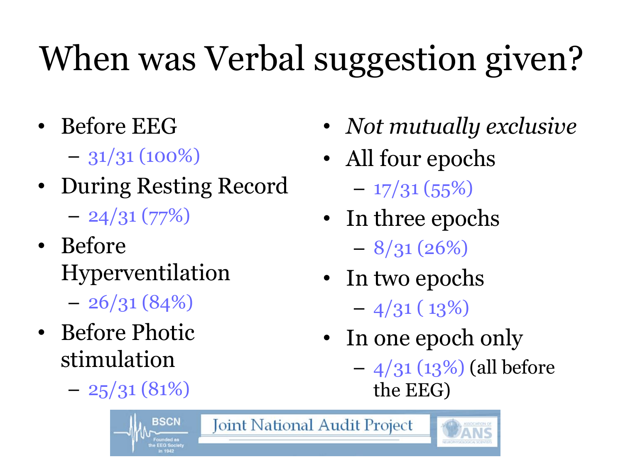# When was Verbal suggestion given?

- Before EEG
	- $-31/31(100\%)$
- During Resting Record  $-24/31(77%)$
- Before Hyperventilation
	- $-26/31(84%)$
- Before Photic stimulation
	- $-25/31(81%)$
- *Not mutually exclusive*
- All four epochs
- $-17/31(55%)$ • In three epochs
	- $-8/31(26%)$
- In two epochs  $-4/31(13%)$
- In one epoch only
	- $-4/31$  (13%) (all before the EEG)

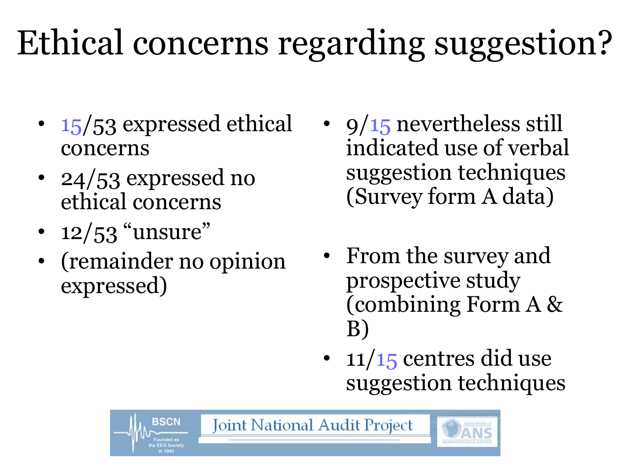# Ethical concerns regarding suggestion?

- 15/53 expressed ethical concerns
- 24/53 expressed no ethical concerns
- $12/53$  "unsure"
- (remainder no opinion expressed)

BSCN

- $9/15$  nevertheless still indicated use of verbal suggestion techniques (Survey form A data)
- From the survey and prospective study (combining Form A & B)
- $11/15$  centres did use suggestion techniques

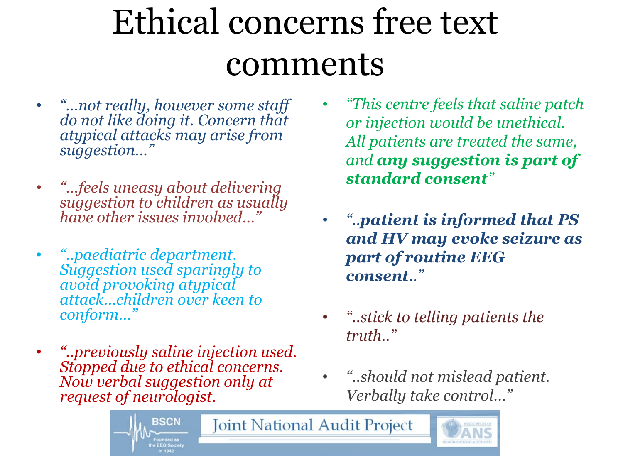## Ethical concerns free text comments

- *"…not really, however some staff do not like doing it. Concern that atypical attacks may arise from suggestion…"*
- *"…feels uneasy about delivering suggestion to children as usually have other issues involved…"*
- *"..paediatric department. Suggestion used sparingly to avoid provoking atypical attack…children over keen to conform…"*
- *"..previously saline injection used. Stopped due to ethical concerns. Now verbal suggestion only at request of neurologist.*
- *"This centre feels that saline patch or injection would be unethical. All patients are treated the same, and any suggestion is part of standard consent"*
- *"..patient is informed that PS and HV may evoke seizure as part of routine EEG consent.."*
- *"..stick to telling patients the truth.."*
- *"..should not mislead patient. Verbally take control…"*

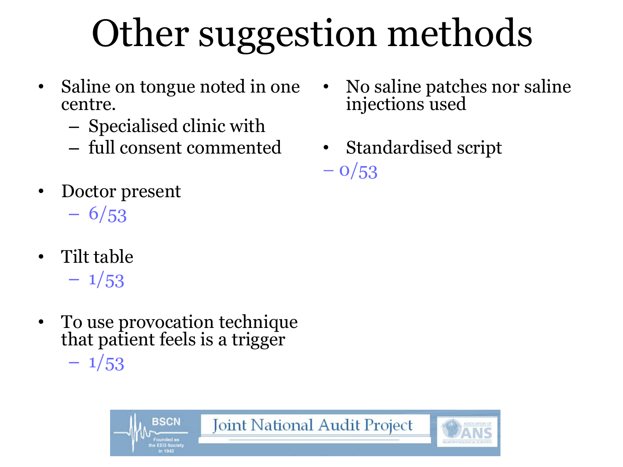# Other suggestion methods

- Saline on tongue noted in one centre.
	- Specialised clinic with
	- full consent commented
- Doctor present  $-6/53$
- Tilt table
	- $-1/53$
- To use provocation technique that patient feels is a trigger  $-1/53$ 
	- **BSCN Joint National Audit Project**
- No saline patches nor saline injections used
- Standardised script  $-0/53$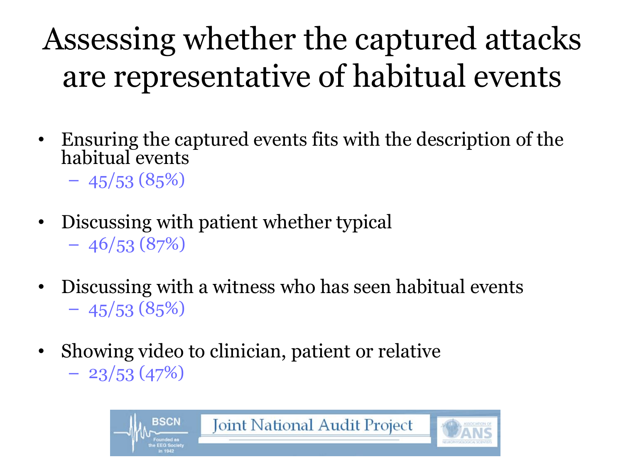### Assessing whether the captured attacks are representative of habitual events

- Ensuring the captured events fits with the description of the habitual events
	- $-45/53(85%)$
- Discussing with patient whether typical  $-46/53(87%)$
- Discussing with a witness who has seen habitual events  $-45/53(85%)$
- Showing video to clinician, patient or relative  $-23/53(47%)$

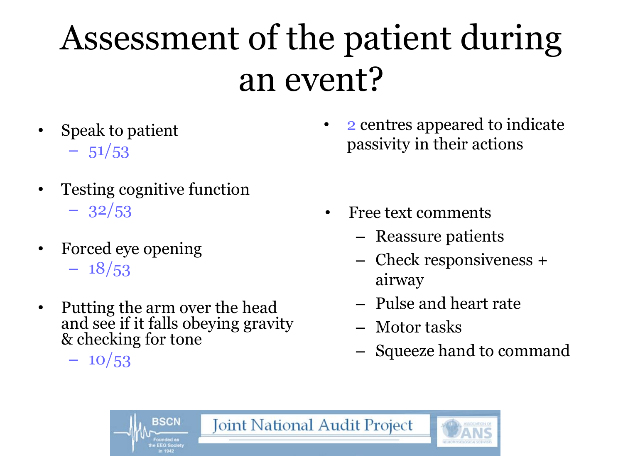## Assessment of the patient during an event?

- Speak to patient
	- $-51/53$
- Testing cognitive function  $-32/53$
- Forced eye opening
	- $-18/53$
- Putting the arm over the head and see if it falls obeying gravity & checking for tone

 $-10/53$ 

• 2 centres appeared to indicate passivity in their actions

- Free text comments
	- Reassure patients
	- Check responsiveness + airway
	- Pulse and heart rate
	- Motor tasks
	- Squeeze hand to command

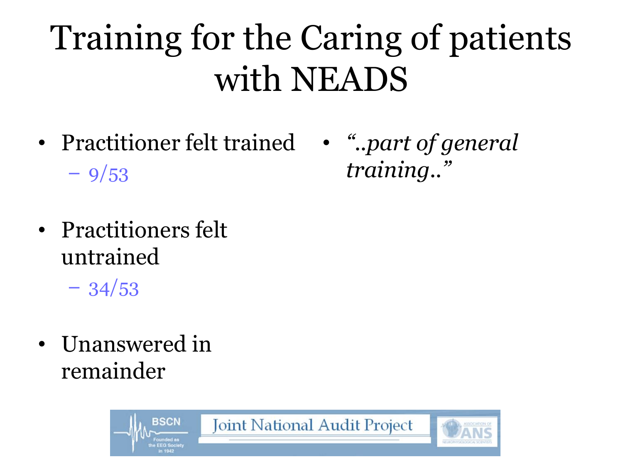## Training for the Caring of patients with NEADS

- Practitioner felt trained *"..part of general*   $-9/53$ 
	- *training.."*

- Practitioners felt untrained
	- $-34/53$
- Unanswered in remainder

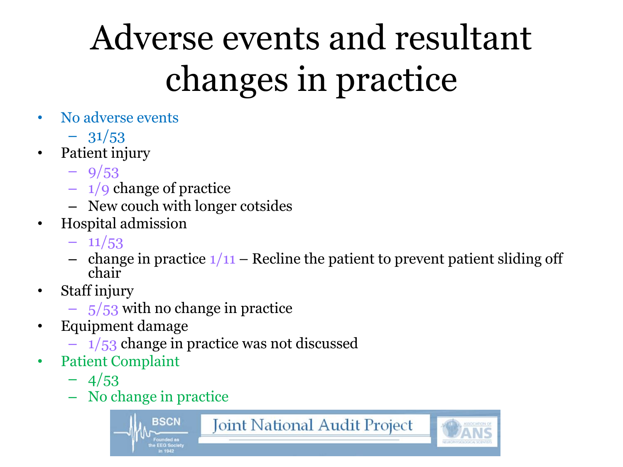# Adverse events and resultant changes in practice

- No adverse events
	- $-31/53$
- Patient injury
	- $-9/53$
	- $-1/9$  change of practice
	- New couch with longer cotsides
- Hospital admission
	- $-11/53$
	- change in practice  $1/11$  Recline the patient to prevent patient sliding off chair
- Staff injury
	- $-5/53$  with no change in practice
- Equipment damage
	- $-1/53$  change in practice was not discussed
- Patient Complaint
	- $-4/53$
	- No change in practice

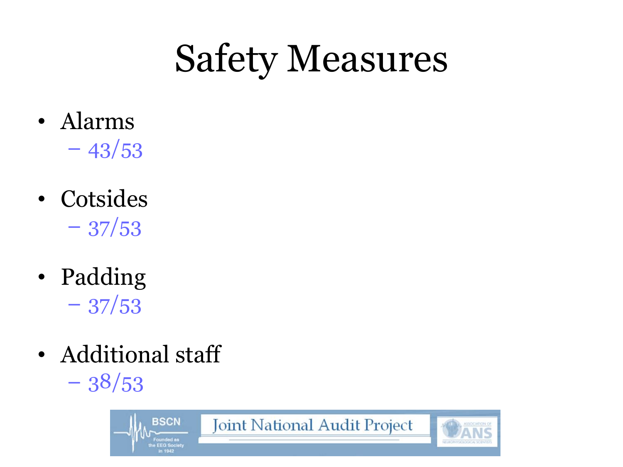# Safety Measures

- Alarms  $-43/53$
- Cotsides  $-37/53$
- Padding  $-37/53$
- Additional staff  $-38/53$

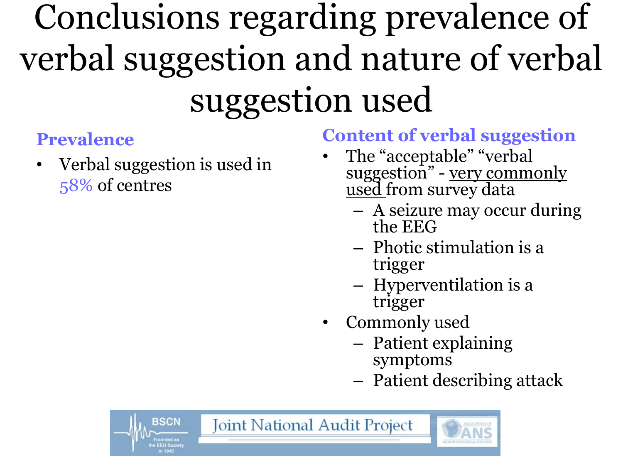## Conclusions regarding prevalence of verbal suggestion and nature of verbal suggestion used

#### **Prevalence**

• Verbal suggestion is used in 58% of centres

**BSCN** 

#### **Content of verbal suggestion**

- The "acceptable" "verbal suggestion" - very commonly used from survey data
	- A seizure may occur during the EEG
	- Photic stimulation is a trigger
	- Hyperventilation is a trigger
- Commonly used
	- Patient explaining symptoms
	- Patient describing attack

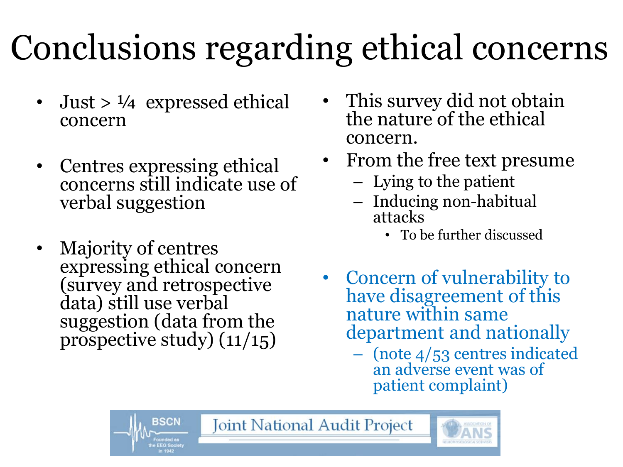# Conclusions regarding ethical concerns

- Just  $> 1/4$  expressed ethical concern
- Centres expressing ethical concerns still indicate use of verbal suggestion
- Majority of centres expressing ethical concern (survey and retrospective data) still use verbal suggestion (data from the prospective study) (11/15)
- This survey did not obtain the nature of the ethical concern.
- From the free text presume
	- Lying to the patient
	- Inducing non-habitual attacks
		- To be further discussed
- Concern of vulnerability to have disagreement of this nature within same department and nationally
	- (note 4/53 centres indicated an adverse event was of patient complaint)

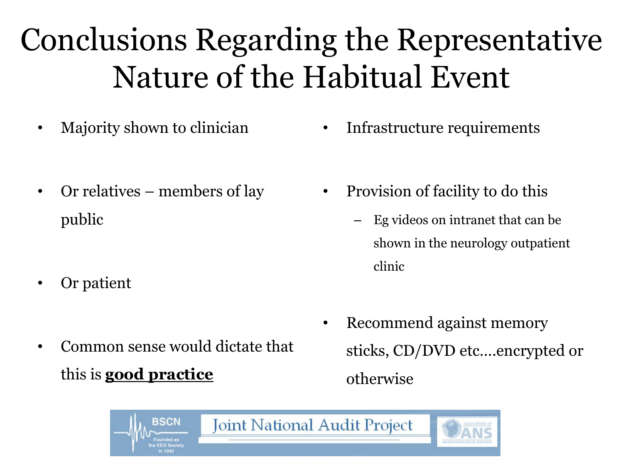### Conclusions Regarding the Representative Nature of the Habitual Event

- Majority shown to clinician
- Or relatives members of lay public
- Or patient
- Common sense would dictate that this is **good practice**
- Infrastructure requirements
- Provision of facility to do this
	- Eg videos on intranet that can be shown in the neurology outpatient clinic
- Recommend against memory sticks, CD/DVD etc….encrypted or otherwise

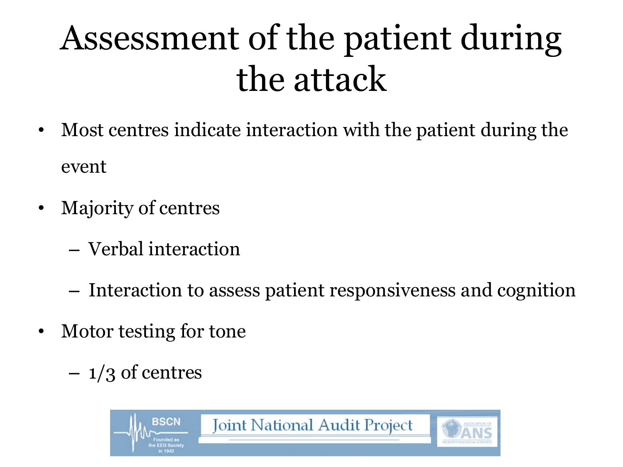## Assessment of the patient during the attack

- Most centres indicate interaction with the patient during the event
- Majority of centres
	- Verbal interaction
	- Interaction to assess patient responsiveness and cognition
- Motor testing for tone
	- $-1/3$  of centres